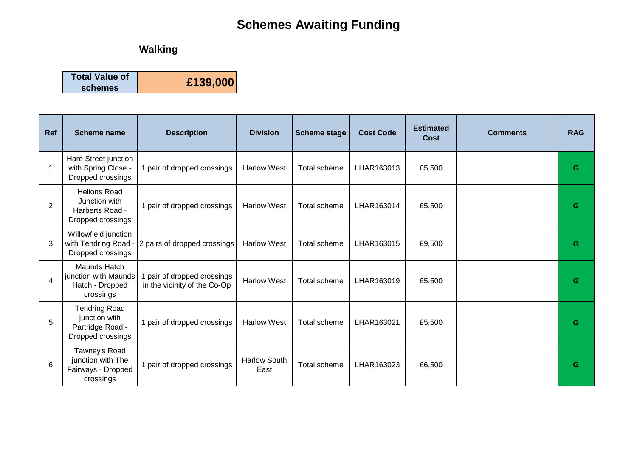## **Schemes Awaiting Funding**

## **Walking**

| <b>Total Value of</b> | £139,000 |
|-----------------------|----------|
| schemes               |          |

| <b>Ref</b>     | <b>Scheme name</b>                                                             | <b>Description</b>                                          | <b>Division</b>             | <b>Scheme stage</b> | <b>Cost Code</b> | <b>Estimated</b><br>Cost | <b>Comments</b> | <b>RAG</b> |
|----------------|--------------------------------------------------------------------------------|-------------------------------------------------------------|-----------------------------|---------------------|------------------|--------------------------|-----------------|------------|
| -1             | Hare Street junction<br>with Spring Close -<br>Dropped crossings               | 1 pair of dropped crossings                                 | <b>Harlow West</b>          | Total scheme        | LHAR163013       | £5,500                   |                 | G          |
| $\overline{2}$ | <b>Helions Road</b><br>Junction with<br>Harberts Road -<br>Dropped crossings   | 1 pair of dropped crossings                                 | <b>Harlow West</b>          | Total scheme        | LHAR163014       | £5,500                   |                 | G          |
| 3              | Willowfield junction<br>with Tendring Road -<br>Dropped crossings              | 2 pairs of dropped crossings                                | <b>Harlow West</b>          | <b>Total scheme</b> | LHAR163015       | £9,500                   |                 | G          |
| 4              | Maunds Hatch<br>junction with Maunds<br>Hatch - Dropped<br>crossings           | 1 pair of dropped crossings<br>in the vicinity of the Co-Op | <b>Harlow West</b>          | Total scheme        | LHAR163019       | £5,500                   |                 | G          |
| 5              | <b>Tendring Road</b><br>junction with<br>Partridge Road -<br>Dropped crossings | 1 pair of dropped crossings                                 | <b>Harlow West</b>          | Total scheme        | LHAR163021       | £5,500                   |                 | G          |
| 6              | Tawney's Road<br>junction with The<br>Fairways - Dropped<br>crossings          | 1 pair of dropped crossings                                 | <b>Harlow South</b><br>East | Total scheme        | LHAR163023       | £6,500                   |                 | G          |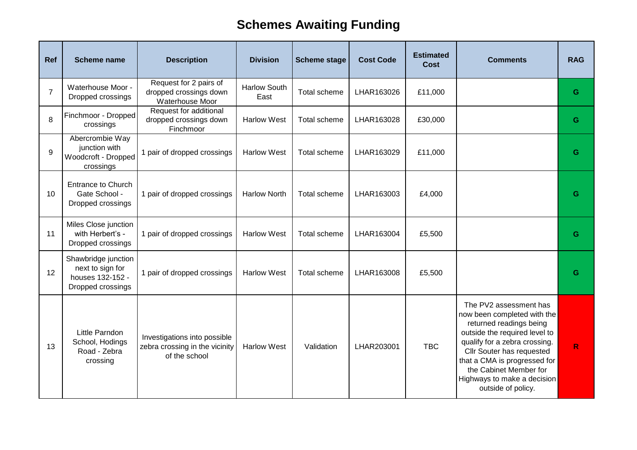## **Schemes Awaiting Funding**

| Ref            | <b>Scheme name</b>                                                               | <b>Description</b>                                                              | <b>Division</b>             | <b>Scheme stage</b> | <b>Cost Code</b> | <b>Estimated</b><br><b>Cost</b> | <b>Comments</b>                                                                                                                                                                                                                                                                                | <b>RAG</b> |
|----------------|----------------------------------------------------------------------------------|---------------------------------------------------------------------------------|-----------------------------|---------------------|------------------|---------------------------------|------------------------------------------------------------------------------------------------------------------------------------------------------------------------------------------------------------------------------------------------------------------------------------------------|------------|
| $\overline{7}$ | Waterhouse Moor -<br>Dropped crossings                                           | Request for 2 pairs of<br>dropped crossings down<br>Waterhouse Moor             | <b>Harlow South</b><br>East | Total scheme        | LHAR163026       | £11,000                         |                                                                                                                                                                                                                                                                                                | G          |
| 8              | Finchmoor - Dropped<br>crossings                                                 | Request for additional<br>dropped crossings down<br>Finchmoor                   | <b>Harlow West</b>          | Total scheme        | LHAR163028       | £30,000                         |                                                                                                                                                                                                                                                                                                | G          |
| 9              | Abercrombie Way<br>junction with<br>Woodcroft - Dropped<br>crossings             | 1 pair of dropped crossings                                                     | <b>Harlow West</b>          | Total scheme        | LHAR163029       | £11,000                         |                                                                                                                                                                                                                                                                                                | G          |
| 10             | <b>Entrance to Church</b><br>Gate School -<br>Dropped crossings                  | 1 pair of dropped crossings                                                     | <b>Harlow North</b>         | Total scheme        | LHAR163003       | £4,000                          |                                                                                                                                                                                                                                                                                                | G          |
| 11             | Miles Close junction<br>with Herbert's -<br>Dropped crossings                    | 1 pair of dropped crossings                                                     | <b>Harlow West</b>          | Total scheme        | LHAR163004       | £5,500                          |                                                                                                                                                                                                                                                                                                | G          |
| 12             | Shawbridge junction<br>next to sign for<br>houses 132-152 -<br>Dropped crossings | 1 pair of dropped crossings                                                     | <b>Harlow West</b>          | Total scheme        | LHAR163008       | £5,500                          |                                                                                                                                                                                                                                                                                                | G          |
| 13             | Little Parndon<br>School, Hodings<br>Road - Zebra<br>crossing                    | Investigations into possible<br>zebra crossing in the vicinity<br>of the school | <b>Harlow West</b>          | Validation          | LHAR203001       | <b>TBC</b>                      | The PV2 assessment has<br>now been completed with the<br>returned readings being<br>outside the required level to<br>qualify for a zebra crossing.<br>Cllr Souter has requested<br>that a CMA is progressed for<br>the Cabinet Member for<br>Highways to make a decision<br>outside of policy. | R          |